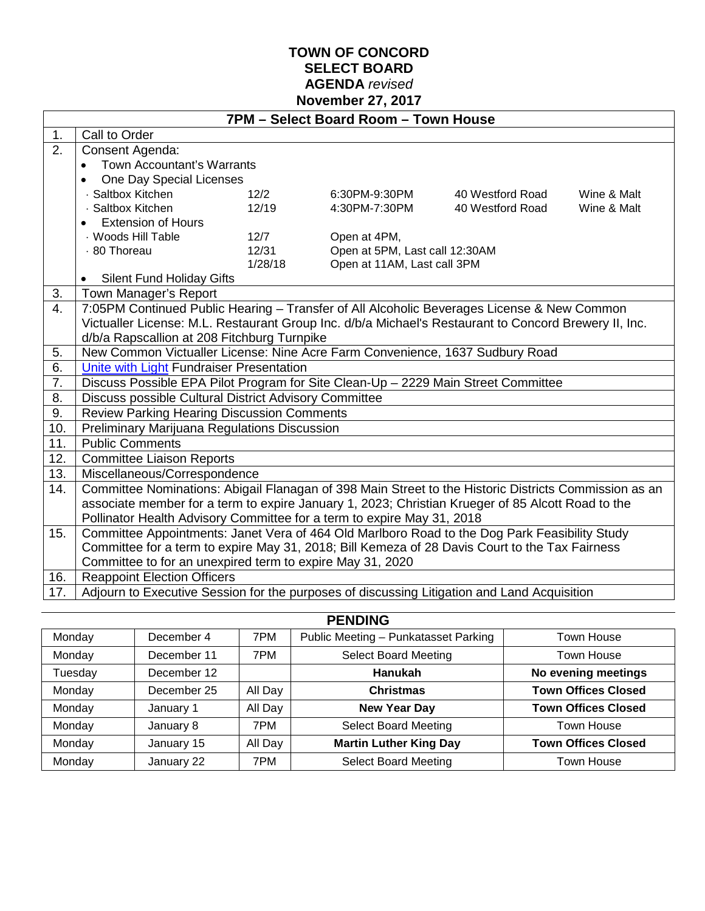### **TOWN OF CONCORD SELECT BOARD AGENDA** *revised* **November 27, 2017**

|                  | 7PM - Select Board Room - Town House                                                                  |         |               |                                |             |  |
|------------------|-------------------------------------------------------------------------------------------------------|---------|---------------|--------------------------------|-------------|--|
| 1.               | Call to Order                                                                                         |         |               |                                |             |  |
| $\overline{2}$ . | Consent Agenda:                                                                                       |         |               |                                |             |  |
|                  | Town Accountant's Warrants                                                                            |         |               |                                |             |  |
|                  | One Day Special Licenses                                                                              |         |               |                                |             |  |
|                  | · Saltbox Kitchen                                                                                     | 12/2    | 6:30PM-9:30PM | 40 Westford Road               | Wine & Malt |  |
|                  | Saltbox Kitchen                                                                                       | 12/19   | 4:30PM-7:30PM | 40 Westford Road               | Wine & Malt |  |
|                  | <b>Extension of Hours</b>                                                                             |         |               |                                |             |  |
|                  | · Woods Hill Table                                                                                    | 12/7    | Open at 4PM,  |                                |             |  |
|                  | · 80 Thoreau                                                                                          | 12/31   |               | Open at 5PM, Last call 12:30AM |             |  |
|                  |                                                                                                       | 1/28/18 |               | Open at 11AM, Last call 3PM    |             |  |
|                  | <b>Silent Fund Holiday Gifts</b>                                                                      |         |               |                                |             |  |
| 3.               | Town Manager's Report                                                                                 |         |               |                                |             |  |
| 4.               | 7:05PM Continued Public Hearing - Transfer of All Alcoholic Beverages License & New Common            |         |               |                                |             |  |
|                  | Victualler License: M.L. Restaurant Group Inc. d/b/a Michael's Restaurant to Concord Brewery II, Inc. |         |               |                                |             |  |
|                  | d/b/a Rapscallion at 208 Fitchburg Turnpike                                                           |         |               |                                |             |  |
| 5.               | New Common Victualler License: Nine Acre Farm Convenience, 1637 Sudbury Road                          |         |               |                                |             |  |
| 6.               | Unite with Light Fundraiser Presentation                                                              |         |               |                                |             |  |
| 7.               | Discuss Possible EPA Pilot Program for Site Clean-Up - 2229 Main Street Committee                     |         |               |                                |             |  |
| 8.               | Discuss possible Cultural District Advisory Committee                                                 |         |               |                                |             |  |
| 9.               | <b>Review Parking Hearing Discussion Comments</b>                                                     |         |               |                                |             |  |
| 10.              | Preliminary Marijuana Regulations Discussion                                                          |         |               |                                |             |  |
| 11.              | <b>Public Comments</b>                                                                                |         |               |                                |             |  |
| 12.              | <b>Committee Liaison Reports</b>                                                                      |         |               |                                |             |  |
| 13.              | Miscellaneous/Correspondence                                                                          |         |               |                                |             |  |
| 14.              | Committee Nominations: Abigail Flanagan of 398 Main Street to the Historic Districts Commission as an |         |               |                                |             |  |
|                  | associate member for a term to expire January 1, 2023; Christian Krueger of 85 Alcott Road to the     |         |               |                                |             |  |
|                  | Pollinator Health Advisory Committee for a term to expire May 31, 2018                                |         |               |                                |             |  |
| 15.              | Committee Appointments: Janet Vera of 464 Old Marlboro Road to the Dog Park Feasibility Study         |         |               |                                |             |  |
|                  | Committee for a term to expire May 31, 2018; Bill Kemeza of 28 Davis Court to the Tax Fairness        |         |               |                                |             |  |
|                  | Committee to for an unexpired term to expire May 31, 2020                                             |         |               |                                |             |  |
| 16.              | <b>Reappoint Election Officers</b>                                                                    |         |               |                                |             |  |
| 17.              | Adjourn to Executive Session for the purposes of discussing Litigation and Land Acquisition           |         |               |                                |             |  |

| <b>PENDING</b> |             |         |                                      |                            |  |
|----------------|-------------|---------|--------------------------------------|----------------------------|--|
| Monday         | December 4  | 7PM     | Public Meeting - Punkatasset Parking | Town House                 |  |
| Monday         | December 11 | 7PM     | <b>Select Board Meeting</b>          | Town House                 |  |
| Tuesday        | December 12 |         | <b>Hanukah</b>                       | No evening meetings        |  |
| Monday         | December 25 | All Day | <b>Christmas</b>                     | <b>Town Offices Closed</b> |  |
| Monday         | January 1   | All Day | <b>New Year Day</b>                  | <b>Town Offices Closed</b> |  |
| Monday         | January 8   | 7PM     | <b>Select Board Meeting</b>          | Town House                 |  |
| Monday         | January 15  | All Day | <b>Martin Luther King Day</b>        | <b>Town Offices Closed</b> |  |
| Monday         | January 22  | 7PM     | <b>Select Board Meeting</b>          | Town House                 |  |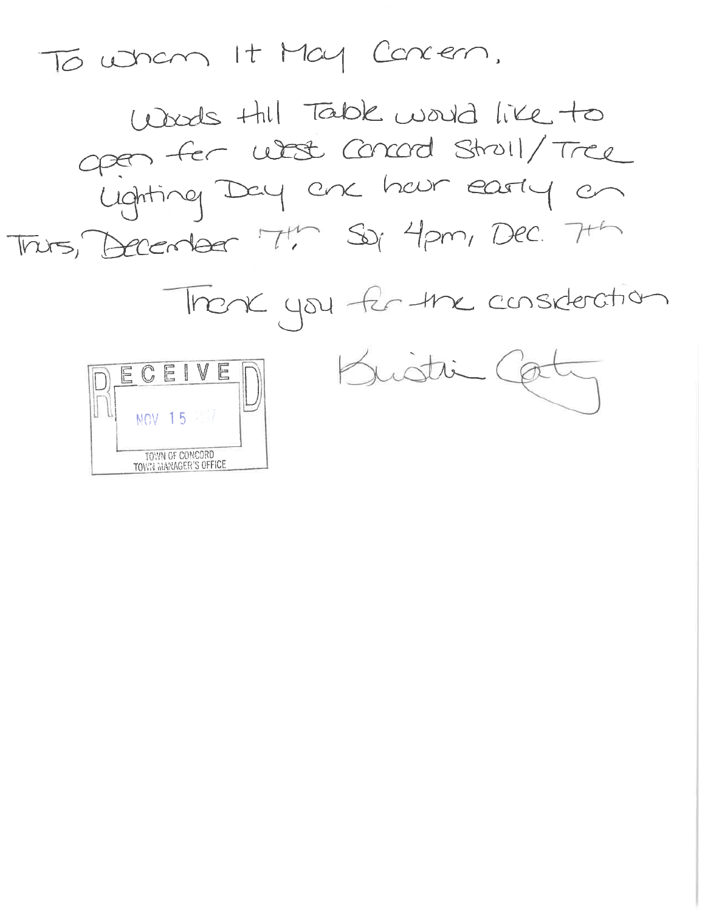To when It May Concern.

Woods thil Table would like to open for what concord stroll/Tree<br>Lighting Day are hour easily on This, Becomer T! So, 4pm, Dec. 7th

Thork you for the consideration



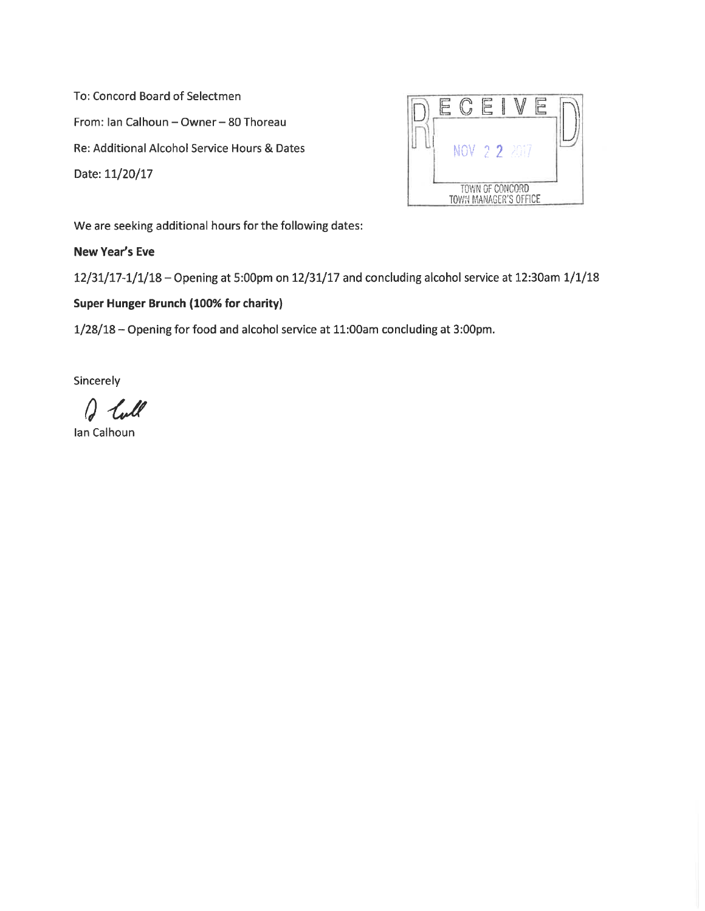To: Concord Board of Selectmen From: Ian Calhoun - Owner - 80 Thoreau Re: Additional Alcohol Service Hours & Dates Date: 11/20/17



We are seeking additional hours for the following dates:

### New Year's Eve

12/31/17-1/1/18 - Opening at 5:00pm on 12/31/17 and concluding alcohol service at 12:30am 1/1/18

### Super Hunger Brunch (100% for charity)

1/28/18 - Opening for food and alcohol service at 11:00am concluding at 3:00pm.

Sincerely

Ŋ

Ian Calhoun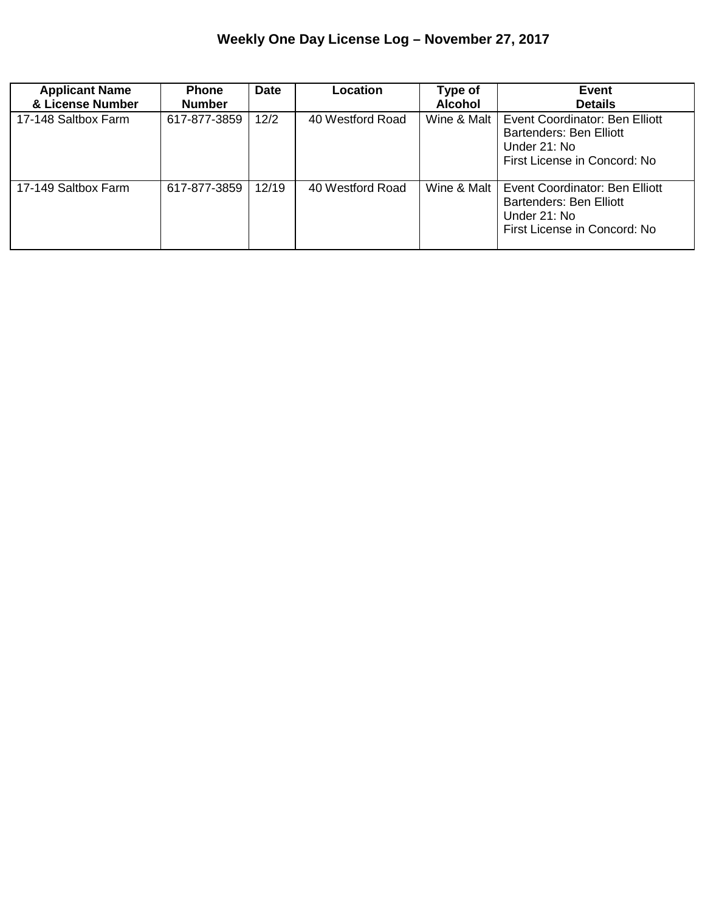### **Weekly One Day License Log – November 27, 2017**

| <b>Applicant Name</b><br>& License Number | <b>Phone</b><br><b>Number</b> | <b>Date</b> | <b>Location</b>  | Type of<br><b>Alcohol</b> | Event<br><b>Details</b>                                                                                   |
|-------------------------------------------|-------------------------------|-------------|------------------|---------------------------|-----------------------------------------------------------------------------------------------------------|
| 17-148 Saltbox Farm                       | 617-877-3859                  | 12/2        | 40 Westford Road | Wine & Malt               | Event Coordinator: Ben Elliott<br>Bartenders: Ben Elliott<br>Under 21: No<br>First License in Concord: No |
| 17-149 Saltbox Farm                       | 617-877-3859                  | 12/19       | 40 Westford Road | Wine & Malt               | Event Coordinator: Ben Elliott<br>Bartenders: Ben Elliott<br>Under 21: No<br>First License in Concord: No |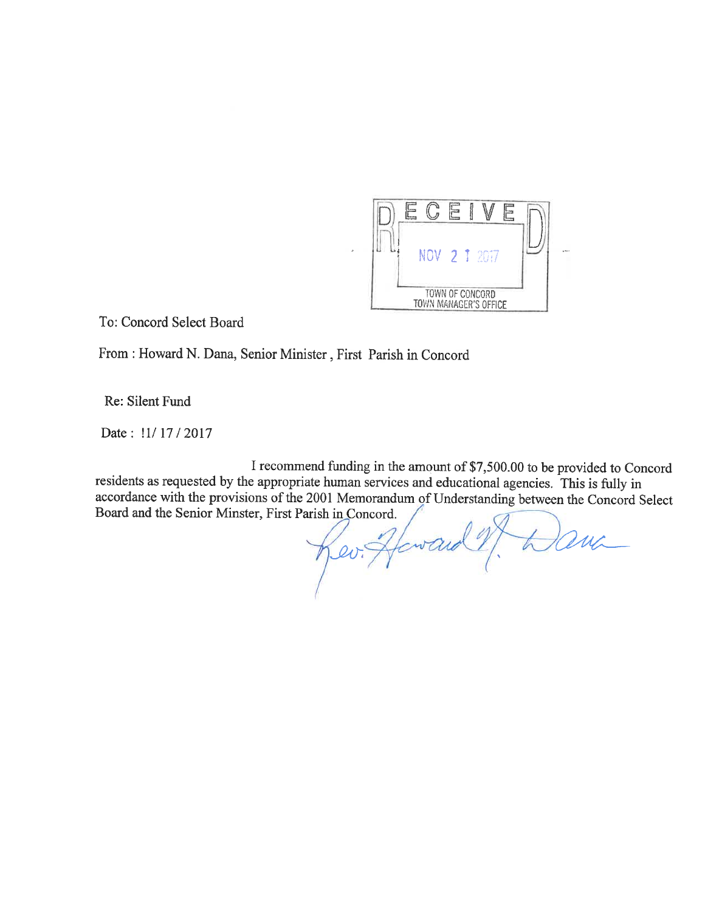

To: Concord Select Board

From : Howard N. Dana, Senior Minister, First Parish in Concord

Re: Silent Fund

Date: !1/17/2017

I recommend funding in the amount of \$7,500.00 to be provided to Concord residents as requested by the appropriate human services and educational agencies. This is fully in accordance with the provisions of the 2001 Memorandum of Understanding between the Concord Select Board and the Senior Minster, First Parish in Concord.

Rev. Heward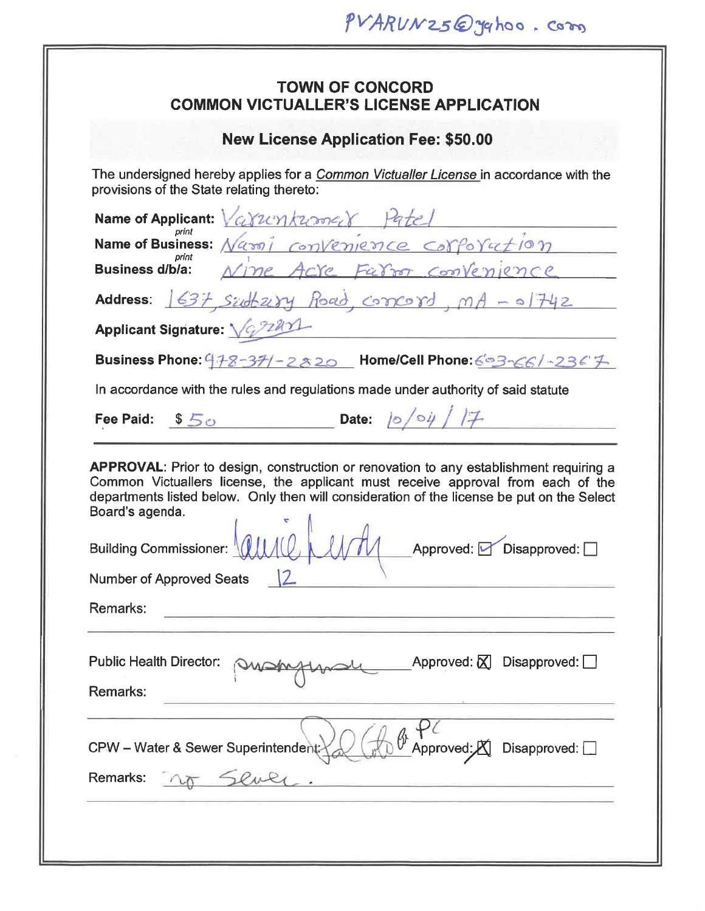| PVARUNZ5@yqhoo.com                                                                                                                                                                                                                                                                                 |  |  |  |  |  |  |
|----------------------------------------------------------------------------------------------------------------------------------------------------------------------------------------------------------------------------------------------------------------------------------------------------|--|--|--|--|--|--|
| <b>TOWN OF CONCORD</b><br><b>COMMON VICTUALLER'S LICENSE APPLICATION</b>                                                                                                                                                                                                                           |  |  |  |  |  |  |
| <b>New License Application Fee: \$50.00</b>                                                                                                                                                                                                                                                        |  |  |  |  |  |  |
| The undersigned hereby applies for a <i>Common Victualler License</i> in accordance with the<br>provisions of the State relating thereto:                                                                                                                                                          |  |  |  |  |  |  |
| Name of Applicant: Varianner                                                                                                                                                                                                                                                                       |  |  |  |  |  |  |
| Name of Business: Nassi convenience corporation                                                                                                                                                                                                                                                    |  |  |  |  |  |  |
| Business dibia: Nime Acre Farron convenience                                                                                                                                                                                                                                                       |  |  |  |  |  |  |
| Address: 1637 sudtary Road, correrd, mA - 01742                                                                                                                                                                                                                                                    |  |  |  |  |  |  |
| Applicant Signature: Variant                                                                                                                                                                                                                                                                       |  |  |  |  |  |  |
| Business Phone: 478-37/-2820 Home/Cell Phone: 693-66/-2367                                                                                                                                                                                                                                         |  |  |  |  |  |  |
| In accordance with the rules and regulations made under authority of said statute                                                                                                                                                                                                                  |  |  |  |  |  |  |
| Date: $ 0/04 /7$<br>Fee Paid: $$5\degree$                                                                                                                                                                                                                                                          |  |  |  |  |  |  |
| <b>APPROVAL:</b> Prior to design, construction or renovation to any establishment requiring a<br>Common Victuallers license, the applicant must receive approval from each of the<br>departments listed below. Only then will consideration of the license be put on the Select<br>Board's agenda. |  |  |  |  |  |  |
| $\begin{array}{c} \begin{array}{c} \bullet \\ \bullet \\ \end{array} \end{array}$<br><b>Building Commissioner:</b><br>Approved: Disapproved: 0                                                                                                                                                     |  |  |  |  |  |  |
| <b>Number of Approved Seats</b>                                                                                                                                                                                                                                                                    |  |  |  |  |  |  |
| Remarks:                                                                                                                                                                                                                                                                                           |  |  |  |  |  |  |
|                                                                                                                                                                                                                                                                                                    |  |  |  |  |  |  |
| Approved: $\boxtimes$ Disapproved: $\Box$<br><b>Public Health Director:</b>                                                                                                                                                                                                                        |  |  |  |  |  |  |
| Remarks:                                                                                                                                                                                                                                                                                           |  |  |  |  |  |  |
| Approved: A<br>CPW - Water & Sewer Superintendent:<br>Disapproved: $\square$<br>Remarks:                                                                                                                                                                                                           |  |  |  |  |  |  |
|                                                                                                                                                                                                                                                                                                    |  |  |  |  |  |  |
|                                                                                                                                                                                                                                                                                                    |  |  |  |  |  |  |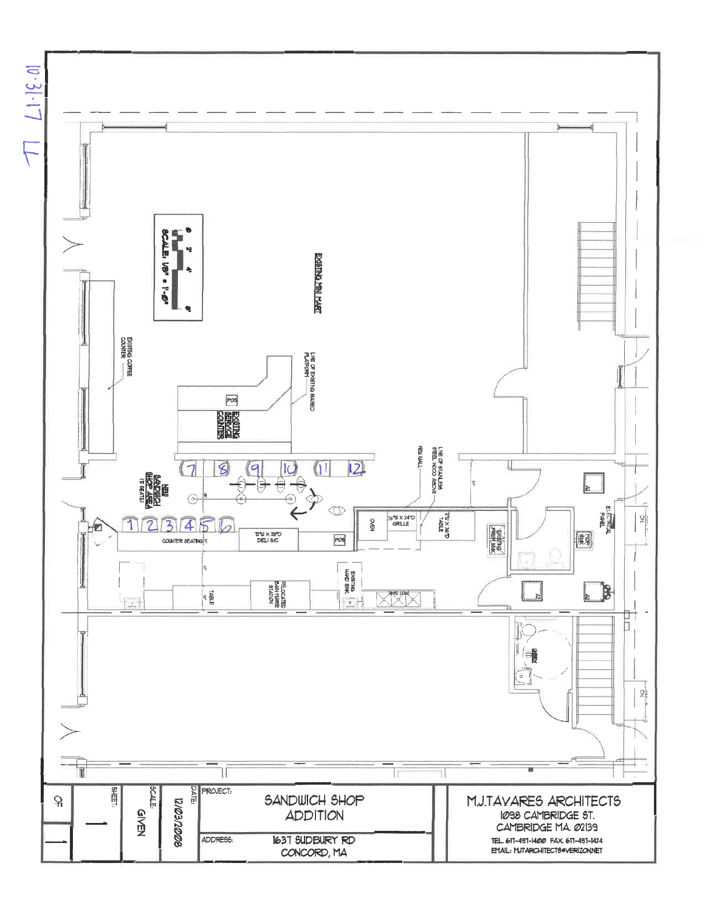